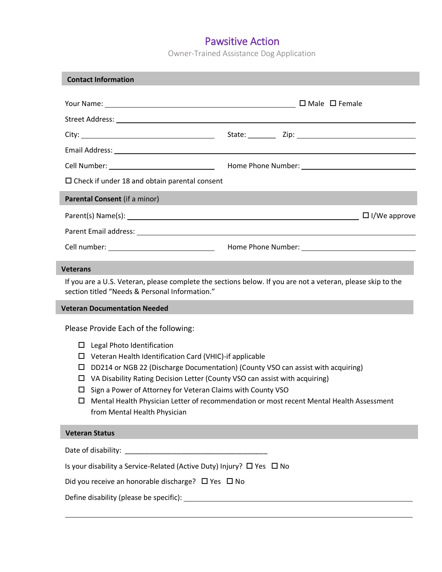Owner-Trained Assistance Dog Application

| <b>Contact Information</b>                           |  |  |  |
|------------------------------------------------------|--|--|--|
|                                                      |  |  |  |
|                                                      |  |  |  |
|                                                      |  |  |  |
|                                                      |  |  |  |
|                                                      |  |  |  |
|                                                      |  |  |  |
| $\Box$ Check if under 18 and obtain parental consent |  |  |  |
| Parental Consent (if a minor)                        |  |  |  |
|                                                      |  |  |  |
|                                                      |  |  |  |
|                                                      |  |  |  |

#### **Veterans**

If you are a U.S. Veteran, please complete the sections below. If you are not a veteran, please skip to the section titled "Needs & Personal Information."

#### **Veteran Documentation Needed**

Please Provide Each of the following:

- $\square$  Legal Photo Identification
- Veteran Health Identification Card (VHIC)-if applicable
- $\square$  DD214 or NGB 22 (Discharge Documentation) (County VSO can assist with acquiring)
- $\Box$  VA Disability Rating Decision Letter (County VSO can assist with acquiring)
- $\square$  Sign a Power of Attorney for Veteran Claims with County VSO
- Mental Health Physician Letter of recommendation or most recent Mental Health Assessment from Mental Health Physician

#### **Veteran Status**

| Date of disability: |  |
|---------------------|--|
|---------------------|--|

Is your disability a Service-Related (Active Duty) Injury?  $\Box$  Yes  $\Box$  No

Did you receive an honorable discharge?  $\Box$  Yes  $\Box$  No

Define disability (please be specific):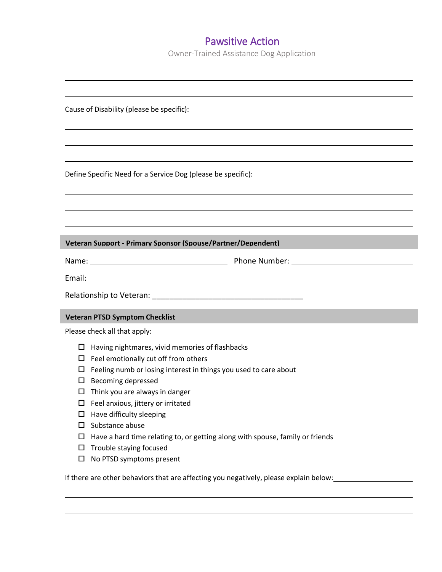Owner-Trained Assistance Dog Application

| Veteran Support - Primary Sponsor (Spouse/Partner/Dependent)                          |
|---------------------------------------------------------------------------------------|
|                                                                                       |
|                                                                                       |
|                                                                                       |
|                                                                                       |
| <b>Veteran PTSD Symptom Checklist</b>                                                 |
| Please check all that apply:                                                          |
| Having nightmares, vivid memories of flashbacks<br>□                                  |
| Feel emotionally cut off from others<br>ப                                             |
| Feeling numb or losing interest in things you used to care about<br>ப                 |
| <b>Becoming depressed</b><br>□                                                        |
| Think you are always in danger<br>ப                                                   |
| Feel anxious, jittery or irritated<br>ப<br>Have difficulty sleeping                   |
| Substance abuse<br>□                                                                  |
| Have a hard time relating to, or getting along with spouse, family or friends<br>□    |
| Trouble staying focused<br>□                                                          |
| $\Box$<br>No PTSD symptoms present                                                    |
| If there are other behaviors that are affecting you negatively, please explain below: |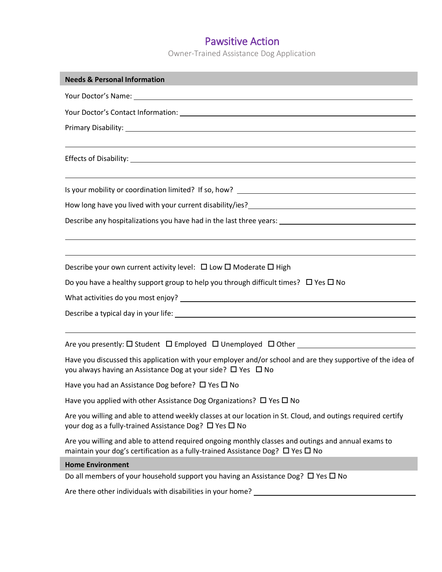Owner-Trained Assistance Dog Application

| <b>Needs &amp; Personal Information</b>                                                                                                                                                          |  |  |
|--------------------------------------------------------------------------------------------------------------------------------------------------------------------------------------------------|--|--|
|                                                                                                                                                                                                  |  |  |
|                                                                                                                                                                                                  |  |  |
|                                                                                                                                                                                                  |  |  |
|                                                                                                                                                                                                  |  |  |
|                                                                                                                                                                                                  |  |  |
|                                                                                                                                                                                                  |  |  |
|                                                                                                                                                                                                  |  |  |
|                                                                                                                                                                                                  |  |  |
|                                                                                                                                                                                                  |  |  |
|                                                                                                                                                                                                  |  |  |
|                                                                                                                                                                                                  |  |  |
| Describe your own current activity level: $\Box$ Low $\Box$ Moderate $\Box$ High                                                                                                                 |  |  |
| Do you have a healthy support group to help you through difficult times? $\Box$ Yes $\Box$ No                                                                                                    |  |  |
|                                                                                                                                                                                                  |  |  |
|                                                                                                                                                                                                  |  |  |
|                                                                                                                                                                                                  |  |  |
|                                                                                                                                                                                                  |  |  |
| Have you discussed this application with your employer and/or school and are they supportive of the idea of<br>you always having an Assistance Dog at your side? □ Yes □ No                      |  |  |
| Have you had an Assistance Dog before? $\Box$ Yes $\Box$ No                                                                                                                                      |  |  |
| Have you applied with other Assistance Dog Organizations? $\Box$ Yes $\Box$ No                                                                                                                   |  |  |
| Are you willing and able to attend weekly classes at our location in St. Cloud, and outings required certify<br>your dog as a fully-trained Assistance Dog? $\Box$ Yes $\Box$ No                 |  |  |
| Are you willing and able to attend required ongoing monthly classes and outings and annual exams to<br>maintain your dog's certification as a fully-trained Assistance Dog? $\Box$ Yes $\Box$ No |  |  |
| <b>Home Environment</b>                                                                                                                                                                          |  |  |
| Do all members of your household support you having an Assistance Dog? $\Box$ Yes $\Box$ No                                                                                                      |  |  |
| Are there other individuals with disabilities in your home?                                                                                                                                      |  |  |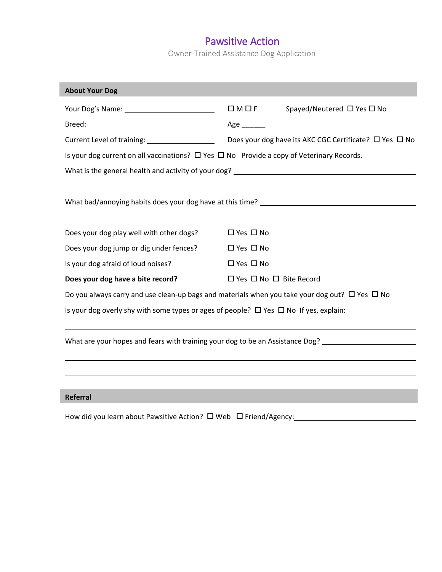Owner-Trained Assistance Dog Application

| <b>About Your Dog</b>                                                                               |                                                                                                          |  |  |  |  |
|-----------------------------------------------------------------------------------------------------|----------------------------------------------------------------------------------------------------------|--|--|--|--|
|                                                                                                     | $\square M \square F$<br>Spayed/Neutered □ Yes □ No                                                      |  |  |  |  |
|                                                                                                     | Age _______                                                                                              |  |  |  |  |
|                                                                                                     |                                                                                                          |  |  |  |  |
| Is your dog current on all vaccinations? $\Box$ Yes $\Box$ No Provide a copy of Veterinary Records. |                                                                                                          |  |  |  |  |
|                                                                                                     |                                                                                                          |  |  |  |  |
|                                                                                                     |                                                                                                          |  |  |  |  |
|                                                                                                     |                                                                                                          |  |  |  |  |
|                                                                                                     |                                                                                                          |  |  |  |  |
| Does your dog play well with other dogs?                                                            | $\Box$ Yes $\Box$ No                                                                                     |  |  |  |  |
| Does your dog jump or dig under fences?                                                             | $\Box$ Yes $\Box$ No                                                                                     |  |  |  |  |
| Is your dog afraid of loud noises?                                                                  | $\Box$ Yes $\Box$ No                                                                                     |  |  |  |  |
| Does your dog have a bite record?                                                                   | $\Box$ Yes $\Box$ No $\Box$ Bite Record                                                                  |  |  |  |  |
|                                                                                                     | Do you always carry and use clean-up bags and materials when you take your dog out? $\Box$ Yes $\Box$ No |  |  |  |  |
|                                                                                                     | Is your dog overly shy with some types or ages of people? $\Box$ Yes $\Box$ No If yes, explain:          |  |  |  |  |
|                                                                                                     |                                                                                                          |  |  |  |  |
|                                                                                                     | What are your hopes and fears with training your dog to be an Assistance Dog?                            |  |  |  |  |
|                                                                                                     |                                                                                                          |  |  |  |  |
|                                                                                                     |                                                                                                          |  |  |  |  |
|                                                                                                     |                                                                                                          |  |  |  |  |
| <b>Referral</b>                                                                                     |                                                                                                          |  |  |  |  |

How did you learn about Pawsitive Action? Web Friend/Agency: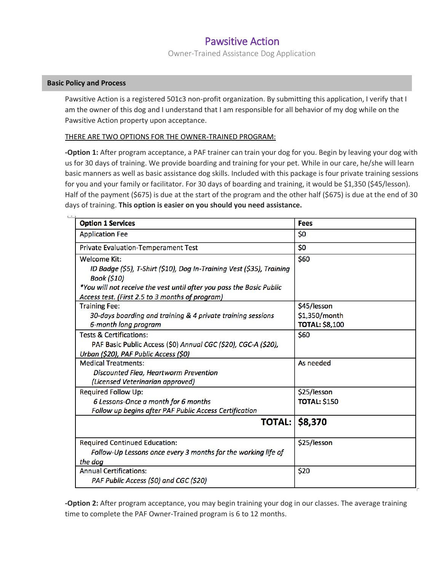Owner-Trained Assistance Dog Application

### **Basic Policy and Process**

Pawsitive Action is a registered 501c3 non-profit organization. By submitting this application, I verify that I am the owner of this dog and I understand that I am responsible for all behavior of my dog while on the Pawsitive Action property upon acceptance.

### THERE ARE TWO OPTIONS FOR THE OWNER-TRAINED PROGRAM:

**-Option 1:** After program acceptance, a PAF trainer can train your dog for you. Begin by leaving your dog with us for 30 days of training. We provide boarding and training for your pet. While in our care, he/she will learn basic manners as well as basic assistance dog skills. Included with this package is four private training sessions for you and your family or facilitator. For 30 days of boarding and training, it would be \$1,350 (\$45/lesson). Half of the payment (\$675) is due at the start of the program and the other half (\$675) is due at the end of 30 days of training. **This option is easier on you should you need assistance.**

| <b>Option 1 Services</b>                                                                                                | <b>Fees</b>           |
|-------------------------------------------------------------------------------------------------------------------------|-----------------------|
| <b>Application Fee</b>                                                                                                  | \$0                   |
| <b>Private Evaluation-Temperament Test</b>                                                                              | \$0                   |
| Welcome Kit:                                                                                                            | \$60                  |
| ID Badge (\$5), T-Shirt (\$10), Dog In-Training Vest (\$35), Training<br><b>Book (\$10)</b>                             |                       |
| *You will not receive the vest until after you pass the Basic Public<br>Access test. (First 2.5 to 3 months of program) |                       |
| <b>Training Fee:</b>                                                                                                    | \$45/lesson           |
| 30-days boarding and training & 4 private training sessions                                                             | \$1,350/month         |
| 6-month long program                                                                                                    | <b>TOTAL: \$8,100</b> |
| <b>Tests &amp; Certifications:</b>                                                                                      | \$60                  |
| PAF Basic Public Access (\$0) Annual CGC (\$20), CGC-A (\$20),                                                          |                       |
| Urban (\$20), PAF Public Access (\$0)                                                                                   |                       |
| <b>Medical Treatments:</b>                                                                                              | As needed             |
| Discounted Flea, Heartworm Prevention                                                                                   |                       |
| (Licensed Veterinarian approved)                                                                                        |                       |
| <b>Required Follow Up:</b>                                                                                              | \$25/lesson           |
| 6 Lessons-Once a month for 6 months                                                                                     | <b>TOTAL: \$150</b>   |
| Follow up begins after PAF Public Access Certification                                                                  |                       |
| <b>TOTAL:</b>                                                                                                           | \$8,370               |
| <b>Required Continued Education:</b>                                                                                    | \$25/lesson           |
| Follow-Up Lessons once every 3 months for the working life of                                                           |                       |
| the dog                                                                                                                 |                       |
| <b>Annual Certifications:</b>                                                                                           | \$20                  |
| PAF Public Access (\$0) and CGC (\$20)                                                                                  |                       |

**-Option 2:** After program acceptance, you may begin training your dog in our classes. The average training time to complete the PAF Owner-Trained program is 6 to 12 months.